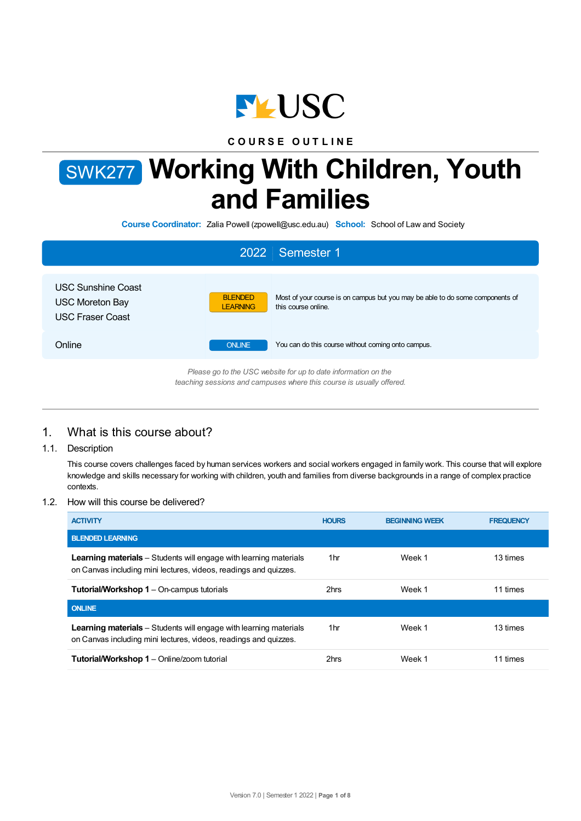

**C O U R S E O U T L I N E**

# SWK277 **Working With Children, Youth and Families**

**Course Coordinator:** Zalia Powell (zpowell@usc.edu.au) **School:** School of Law and Society

|                                                                         |                                   | 2022 Semester 1                                                                                                                        |
|-------------------------------------------------------------------------|-----------------------------------|----------------------------------------------------------------------------------------------------------------------------------------|
| USC Sunshine Coast<br><b>USC Moreton Bay</b><br><b>USC Fraser Coast</b> | <b>BLENDED</b><br><b>LEARNING</b> | Most of your course is on campus but you may be able to do some components of<br>this course online.                                   |
| Online                                                                  | <b>ONLINE</b>                     | You can do this course without coming onto campus.                                                                                     |
|                                                                         |                                   | Please go to the USC website for up to date information on the<br>teaching sessions and campuses where this course is usually offered. |

# 1. What is this course about?

1.1. Description

This course covers challenges faced by human services workers and social workers engaged in family work. This course that will explore knowledge and skills necessary for working with children, youth and families from diverse backgrounds in a range of complex practice contexts.

## 1.2. How will this course be delivered?

| <b>ACTIVITY</b>                                                                                                                              | <b>HOURS</b>    | <b>BEGINNING WEEK</b> | <b>FREQUENCY</b> |
|----------------------------------------------------------------------------------------------------------------------------------------------|-----------------|-----------------------|------------------|
| <b>BLENDED LEARNING</b>                                                                                                                      |                 |                       |                  |
| <b>Learning materials</b> – Students will engage with learning materials<br>on Canvas including mini lectures, videos, readings and quizzes. | 1 <sub>hr</sub> | Week 1                | 13 times         |
| <b>Tutorial/Workshop 1</b> – On-campus tutorials                                                                                             | 2hrs            | Week 1                | 11 times         |
| <b>ONLINE</b>                                                                                                                                |                 |                       |                  |
| <b>Learning materials</b> – Students will engage with learning materials<br>on Canvas including mini lectures, videos, readings and quizzes. | 1 <sub>hr</sub> | Week 1                | 13 times         |
| <b>Tutorial/Workshop 1</b> – Online/zoom tutorial                                                                                            | 2hrs            | Week 1                | 11 times         |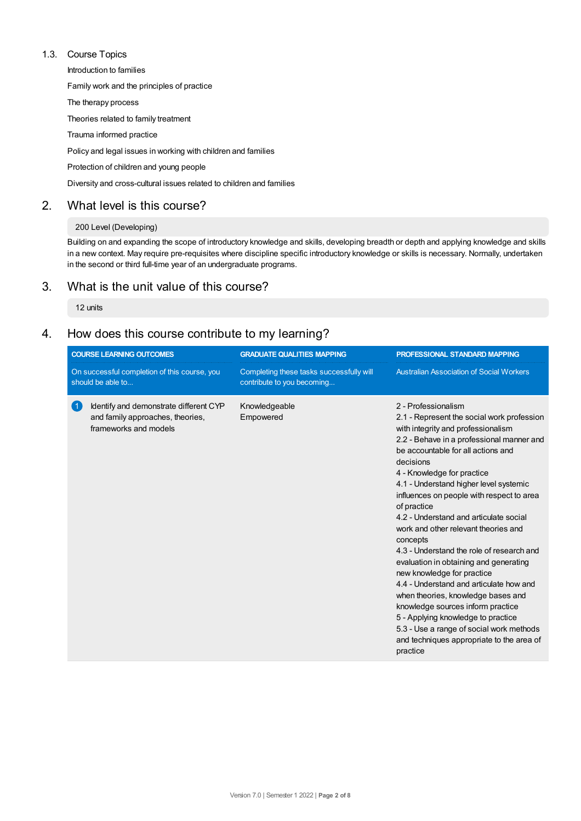## 1.3. Course Topics

Introduction to families

Family work and the principles of practice

The therapy process

Theories related to family treatment

Trauma informed practice

Policy and legal issues in working with children and families

Protection of children and young people

Diversity and cross-cultural issues related to children and families

## 2. What level is this course?

#### 200 Level (Developing)

Building on and expanding the scope of introductory knowledge and skills, developing breadth or depth and applying knowledge and skills in a new context. May require pre-requisites where discipline specific introductory knowledge or skills is necessary. Normally, undertaken in the second or third full-time year of an undergraduate programs.

## 3. What is the unit value of this course?

12 units

# 4. How does this course contribute to my learning?

|                                                                   | <b>COURSE LEARNING OUTCOMES</b>                                                                     | <b>GRADUATE QUALITIES MAPPING</b>                                      | PROFESSIONAL STANDARD MAPPING                                                                                                                                                                                                                                                                                                                                                                                                                                                                                                                                                                                                                                                                                                                                                                                                   |
|-------------------------------------------------------------------|-----------------------------------------------------------------------------------------------------|------------------------------------------------------------------------|---------------------------------------------------------------------------------------------------------------------------------------------------------------------------------------------------------------------------------------------------------------------------------------------------------------------------------------------------------------------------------------------------------------------------------------------------------------------------------------------------------------------------------------------------------------------------------------------------------------------------------------------------------------------------------------------------------------------------------------------------------------------------------------------------------------------------------|
| On successful completion of this course, you<br>should be able to |                                                                                                     | Completing these tasks successfully will<br>contribute to you becoming | <b>Australian Association of Social Workers</b>                                                                                                                                                                                                                                                                                                                                                                                                                                                                                                                                                                                                                                                                                                                                                                                 |
| $\vert$ 1                                                         | Identify and demonstrate different CYP<br>and family approaches, theories,<br>frameworks and models | Knowledgeable<br>Empowered                                             | 2 - Professionalism<br>2.1 - Represent the social work profession<br>with integrity and professionalism<br>2.2 - Behave in a professional manner and<br>be accountable for all actions and<br>decisions<br>4 - Knowledge for practice<br>4.1 - Understand higher level systemic<br>influences on people with respect to area<br>of practice<br>4.2 - Understand and articulate social<br>work and other relevant theories and<br>concepts<br>4.3 - Understand the role of research and<br>evaluation in obtaining and generating<br>new knowledge for practice<br>4.4 - Understand and articulate how and<br>when theories, knowledge bases and<br>knowledge sources inform practice<br>5 - Applying knowledge to practice<br>5.3 - Use a range of social work methods<br>and techniques appropriate to the area of<br>practice |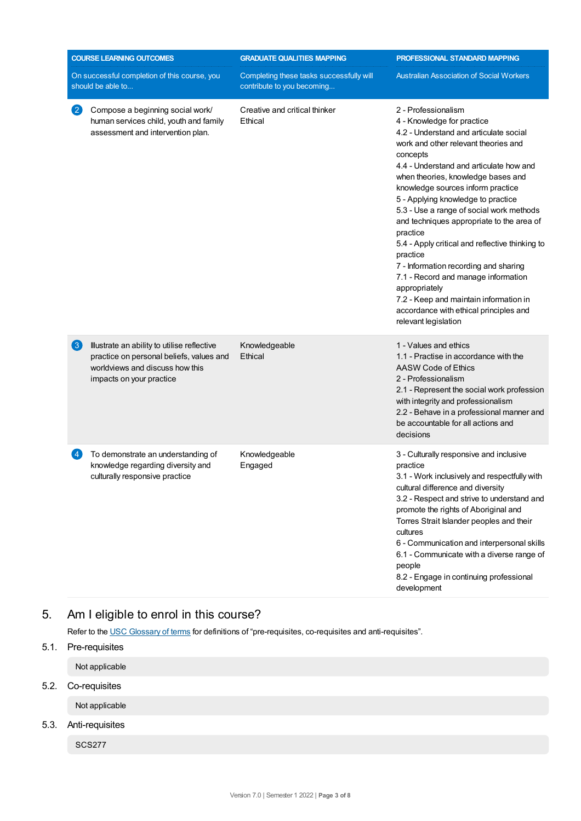| <b>COURSE LEARNING OUTCOMES</b> |                                                                                                                                                        | <b>GRADUATE QUALITIES MAPPING</b>                                      | PROFESSIONAL STANDARD MAPPING                                                                                                                                                                                                                                                                                                                                                                                                                                                                                                                                                                                                                                                                |  |
|---------------------------------|--------------------------------------------------------------------------------------------------------------------------------------------------------|------------------------------------------------------------------------|----------------------------------------------------------------------------------------------------------------------------------------------------------------------------------------------------------------------------------------------------------------------------------------------------------------------------------------------------------------------------------------------------------------------------------------------------------------------------------------------------------------------------------------------------------------------------------------------------------------------------------------------------------------------------------------------|--|
|                                 | On successful completion of this course, you<br>should be able to                                                                                      | Completing these tasks successfully will<br>contribute to you becoming | <b>Australian Association of Social Workers</b>                                                                                                                                                                                                                                                                                                                                                                                                                                                                                                                                                                                                                                              |  |
| $\mathbf{C}$                    | Compose a beginning social work/<br>human services child, youth and family<br>assessment and intervention plan.                                        | Creative and critical thinker<br>Ethical                               | 2 - Professionalism<br>4 - Knowledge for practice<br>4.2 - Understand and articulate social<br>work and other relevant theories and<br>concepts<br>4.4 - Understand and articulate how and<br>when theories, knowledge bases and<br>knowledge sources inform practice<br>5 - Applying knowledge to practice<br>5.3 - Use a range of social work methods<br>and techniques appropriate to the area of<br>practice<br>5.4 - Apply critical and reflective thinking to<br>practice<br>7 - Information recording and sharing<br>7.1 - Record and manage information<br>appropriately<br>7.2 - Keep and maintain information in<br>accordance with ethical principles and<br>relevant legislation |  |
| $\left(3\right)$                | Illustrate an ability to utilise reflective<br>practice on personal beliefs, values and<br>worldviews and discuss how this<br>impacts on your practice | Knowledgeable<br>Ethical                                               | 1 - Values and ethics<br>1.1 - Practise in accordance with the<br>AASW Code of Ethics<br>2 - Professionalism<br>2.1 - Represent the social work profession<br>with integrity and professionalism<br>2.2 - Behave in a professional manner and<br>be accountable for all actions and<br>decisions                                                                                                                                                                                                                                                                                                                                                                                             |  |
| $\overline{4}$                  | To demonstrate an understanding of<br>knowledge regarding diversity and<br>culturally responsive practice                                              | Knowledgeable<br>Engaged                                               | 3 - Culturally responsive and inclusive<br>practice<br>3.1 - Work inclusively and respectfully with<br>cultural difference and diversity<br>3.2 - Respect and strive to understand and<br>promote the rights of Aboriginal and<br>Torres Strait Islander peoples and their<br>cultures<br>6 - Communication and interpersonal skills<br>6.1 - Communicate with a diverse range of<br>people<br>8.2 - Engage in continuing professional<br>development                                                                                                                                                                                                                                        |  |

# 5. Am Ieligible to enrol in this course?

Refer to the USC [Glossary](https://www.usc.edu.au/about/policies-and-procedures/glossary-of-terms-for-policy-and-procedures) of terms for definitions of "pre-requisites, co-requisites and anti-requisites".

5.1. Pre-requisites Not applicable 5.2. Co-requisites Not applicable 5.3. Anti-requisites SCS277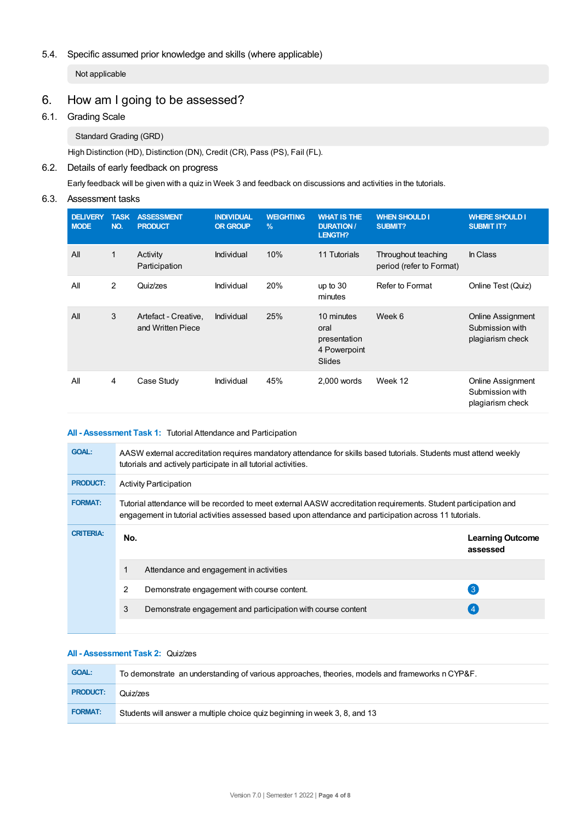## 5.4. Specific assumed prior knowledge and skills (where applicable)

Not applicable

# 6. How am Igoing to be assessed?

## 6.1. Grading Scale

Standard Grading (GRD)

High Distinction (HD), Distinction (DN), Credit (CR), Pass (PS), Fail (FL).

## 6.2. Details of early feedback on progress

Early feedback will be given with a quiz in Week 3 and feedback on discussions and activities in the tutorials.

## 6.3. Assessment tasks

| <b>DELIVERY</b><br><b>MODE</b> | <b>TASK</b><br>NO. | <b>ASSESSMENT</b><br><b>PRODUCT</b>       | <b>INDIVIDUAL</b><br><b>OR GROUP</b> | <b>WEIGHTING</b><br>$\frac{9}{6}$ | <b>WHAT IS THE</b><br><b>DURATION/</b><br><b>LENGTH?</b>     | <b>WHEN SHOULD I</b><br><b>SUBMIT?</b>          | <b>WHERE SHOULD I</b><br><b>SUBMIT IT?</b>                      |
|--------------------------------|--------------------|-------------------------------------------|--------------------------------------|-----------------------------------|--------------------------------------------------------------|-------------------------------------------------|-----------------------------------------------------------------|
| All                            | $\mathbf{1}$       | Activity<br>Participation                 | Individual                           | 10%                               | 11 Tutorials                                                 | Throughout teaching<br>period (refer to Format) | In Class                                                        |
| All                            | 2                  | Quiz/zes                                  | Individual                           | 20%                               | up to $30$<br>minutes                                        | Refer to Format                                 | Online Test (Quiz)                                              |
| All                            | 3                  | Artefact - Creative,<br>and Written Piece | Individual                           | 25%                               | 10 minutes<br>oral<br>presentation<br>4 Powerpoint<br>Slides | Week 6                                          | <b>Online Assignment</b><br>Submission with<br>plagiarism check |
| All                            | 4                  | Case Study                                | Individual                           | 45%                               | 2,000 words                                                  | Week 12                                         | Online Assignment<br>Submission with<br>plagiarism check        |

## **All - Assessment Task 1:** Tutorial Attendance and Participation

| <b>GOAL:</b>     |                        | AASW external accreditation requires mandatory attendance for skills based tutorials. Students must attend weekly<br>tutorials and actively participate in all tutorial activities.                                         |                                     |  |
|------------------|------------------------|-----------------------------------------------------------------------------------------------------------------------------------------------------------------------------------------------------------------------------|-------------------------------------|--|
| <b>PRODUCT:</b>  | Activity Participation |                                                                                                                                                                                                                             |                                     |  |
| <b>FORMAT:</b>   |                        | Tutorial attendance will be recorded to meet external AASW accreditation requirements. Student participation and<br>engagement in tutorial activities assessed based upon attendance and participation across 11 tutorials. |                                     |  |
| <b>CRITERIA:</b> | No.                    |                                                                                                                                                                                                                             | <b>Learning Outcome</b><br>assessed |  |
|                  |                        | Attendance and engagement in activities                                                                                                                                                                                     |                                     |  |
|                  | 2                      | Demonstrate engagement with course content.                                                                                                                                                                                 | 3                                   |  |
|                  | 3                      | Demonstrate engagement and participation with course content                                                                                                                                                                |                                     |  |
|                  |                        |                                                                                                                                                                                                                             |                                     |  |

#### **All - Assessment Task 2:** Quiz/zes

| <b>GOAL:</b>    | To demonstrate an understanding of various approaches, theories, models and frameworks n CYP&F. |
|-----------------|-------------------------------------------------------------------------------------------------|
| <b>PRODUCT:</b> | Quiz/zes                                                                                        |
| <b>FORMAT:</b>  | Students will answer a multiple choice quiz beginning in week 3, 8, and 13                      |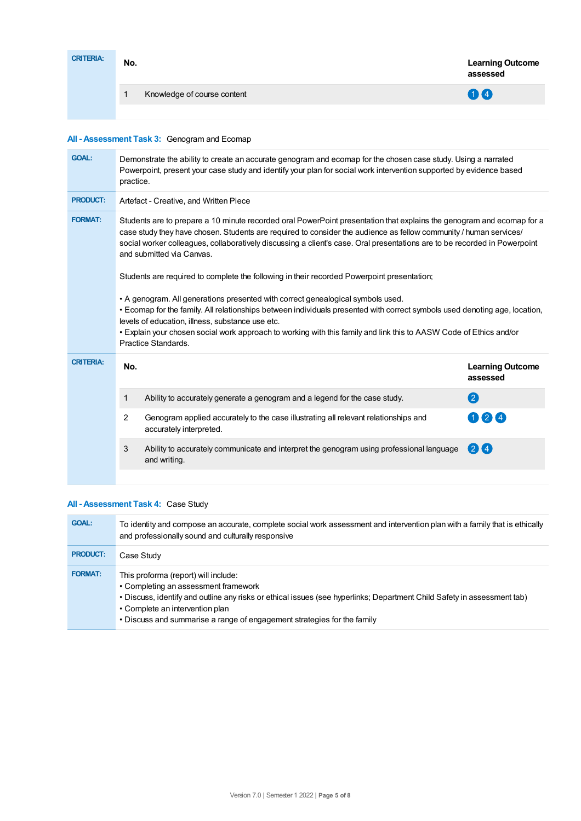| <b>CRITERIA:</b> | No. |                             | <b>Learning Outcome</b><br>assessed |
|------------------|-----|-----------------------------|-------------------------------------|
|                  |     | Knowledge of course content | 00                                  |
|                  |     |                             |                                     |

## **All - Assessment Task 3:** Genogram and Ecomap

| <b>GOAL:</b>                                                                                                                                                                                                                                                                                                                                                                                                   | practice.                                                                                                                                                                                                                                                                                                                                                                                                                                                                                          | Demonstrate the ability to create an accurate genogram and ecomap for the chosen case study. Using a narrated<br>Powerpoint, present your case study and identify your plan for social work intervention supported by evidence based |                                     |  |
|----------------------------------------------------------------------------------------------------------------------------------------------------------------------------------------------------------------------------------------------------------------------------------------------------------------------------------------------------------------------------------------------------------------|----------------------------------------------------------------------------------------------------------------------------------------------------------------------------------------------------------------------------------------------------------------------------------------------------------------------------------------------------------------------------------------------------------------------------------------------------------------------------------------------------|--------------------------------------------------------------------------------------------------------------------------------------------------------------------------------------------------------------------------------------|-------------------------------------|--|
| <b>PRODUCT:</b>                                                                                                                                                                                                                                                                                                                                                                                                | Artefact - Creative, and Written Piece                                                                                                                                                                                                                                                                                                                                                                                                                                                             |                                                                                                                                                                                                                                      |                                     |  |
| <b>FORMAT:</b>                                                                                                                                                                                                                                                                                                                                                                                                 | Students are to prepare a 10 minute recorded oral PowerPoint presentation that explains the genogram and ecomap for a<br>case study they have chosen. Students are required to consider the audience as fellow community / human services/<br>social worker colleagues, collaboratively discussing a client's case. Oral presentations are to be recorded in Powerpoint<br>and submitted via Canvas.<br>Students are required to complete the following in their recorded Powerpoint presentation; |                                                                                                                                                                                                                                      |                                     |  |
| • A genogram. All generations presented with correct genealogical symbols used.<br>• Ecomap for the family. All relationships between individuals presented with correct symbols used denoting age, location,<br>levels of education, illness, substance use etc.<br>. Explain your chosen social work approach to working with this family and link this to AASW Code of Ethics and/or<br>Practice Standards. |                                                                                                                                                                                                                                                                                                                                                                                                                                                                                                    |                                                                                                                                                                                                                                      |                                     |  |
| <b>CRITERIA:</b>                                                                                                                                                                                                                                                                                                                                                                                               | No.                                                                                                                                                                                                                                                                                                                                                                                                                                                                                                |                                                                                                                                                                                                                                      | <b>Learning Outcome</b><br>assessed |  |
|                                                                                                                                                                                                                                                                                                                                                                                                                | $\mathbf{1}$                                                                                                                                                                                                                                                                                                                                                                                                                                                                                       | Ability to accurately generate a genogram and a legend for the case study.                                                                                                                                                           | $\mathbf 2$                         |  |
|                                                                                                                                                                                                                                                                                                                                                                                                                | $\overline{2}$                                                                                                                                                                                                                                                                                                                                                                                                                                                                                     | Genogram applied accurately to the case illustrating all relevant relationships and<br>accurately interpreted.                                                                                                                       | 00                                  |  |
|                                                                                                                                                                                                                                                                                                                                                                                                                | 3                                                                                                                                                                                                                                                                                                                                                                                                                                                                                                  | Ability to accurately communicate and interpret the genogram using professional language<br>and writing.                                                                                                                             | 24                                  |  |
|                                                                                                                                                                                                                                                                                                                                                                                                                |                                                                                                                                                                                                                                                                                                                                                                                                                                                                                                    |                                                                                                                                                                                                                                      |                                     |  |

## **All - Assessment Task 4:** Case Study

| <b>GOAL:</b>    | To identity and compose an accurate, complete social work assessment and intervention plan with a family that is ethically<br>and professionally sound and culturally responsive                                                                                                                                      |
|-----------------|-----------------------------------------------------------------------------------------------------------------------------------------------------------------------------------------------------------------------------------------------------------------------------------------------------------------------|
| <b>PRODUCT:</b> | Case Study                                                                                                                                                                                                                                                                                                            |
| <b>FORMAT:</b>  | This proforma (report) will include:<br>• Completing an assessment framework<br>. Discuss, identify and outline any risks or ethical issues (see hyperlinks; Department Child Safety in assessment tab)<br>• Complete an intervention plan<br>• Discuss and summarise a range of engagement strategies for the family |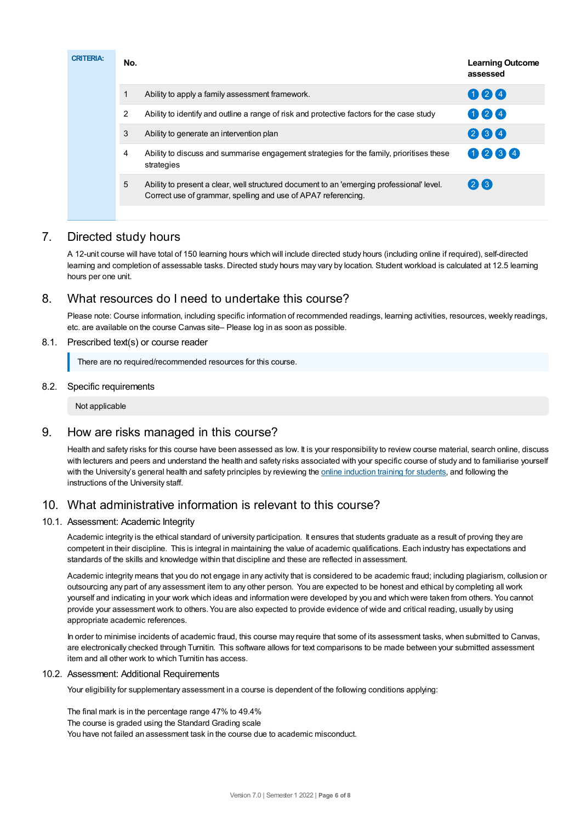| <b>CRITERIA:</b> | No.                                                                                                                                                             | <b>Learning Outcome</b><br>assessed |
|------------------|-----------------------------------------------------------------------------------------------------------------------------------------------------------------|-------------------------------------|
|                  | Ability to apply a family assessment framework.                                                                                                                 | 000                                 |
|                  | $\overline{2}$<br>Ability to identify and outline a range of risk and protective factors for the case study                                                     | 024                                 |
|                  | 3<br>Ability to generate an intervention plan                                                                                                                   | 264                                 |
|                  | Ability to discuss and summarise engagement strategies for the family, prioritises these<br>4<br>strategies                                                     | 0234                                |
|                  | 5<br>Ability to present a clear, well structured document to an 'emerging professional' level.<br>Correct use of grammar, spelling and use of APA7 referencing. | 26                                  |

# 7. Directed study hours

A 12-unit course will have total of 150 learning hours which will include directed study hours (including online if required), self-directed learning and completion of assessable tasks. Directed study hours may vary by location. Student workload is calculated at 12.5 learning hours per one unit.

## 8. What resources do I need to undertake this course?

Please note: Course information, including specific information of recommended readings, learning activities, resources, weekly readings, etc. are available on the course Canvas site– Please log in as soon as possible.

## 8.1. Prescribed text(s) or course reader

There are no required/recommended resources for this course.

## 8.2. Specific requirements

Not applicable

## 9. How are risks managed in this course?

Health and safety risks for this course have been assessed as low. It is your responsibility to review course material, search online, discuss with lecturers and peers and understand the health and safety risks associated with your specific course of study and to familiarise yourself with the University's general health and safety principles by reviewing the online [induction](https://online.usc.edu.au/webapps/blackboard/content/listContentEditable.jsp?content_id=_632657_1&course_id=_14432_1) training for students, and following the instructions of the University staff.

## 10. What administrative information is relevant to this course?

## 10.1. Assessment: Academic Integrity

Academic integrity is the ethical standard of university participation. It ensures that students graduate as a result of proving they are competent in their discipline. This is integral in maintaining the value of academic qualifications. Each industry has expectations and standards of the skills and knowledge within that discipline and these are reflected in assessment.

Academic integrity means that you do not engage in any activity that is considered to be academic fraud; including plagiarism, collusion or outsourcing any part of any assessment item to any other person. You are expected to be honest and ethical by completing all work yourself and indicating in your work which ideas and information were developed by you and which were taken from others. You cannot provide your assessment work to others.You are also expected to provide evidence of wide and critical reading, usually by using appropriate academic references.

In order to minimise incidents of academic fraud, this course may require that some of its assessment tasks, when submitted to Canvas, are electronically checked through Turnitin. This software allows for text comparisons to be made between your submitted assessment item and all other work to which Turnitin has access.

#### 10.2. Assessment: Additional Requirements

Your eligibility for supplementary assessment in a course is dependent of the following conditions applying:

The final mark is in the percentage range 47% to 49.4% The course is graded using the Standard Grading scale You have not failed an assessment task in the course due to academic misconduct.